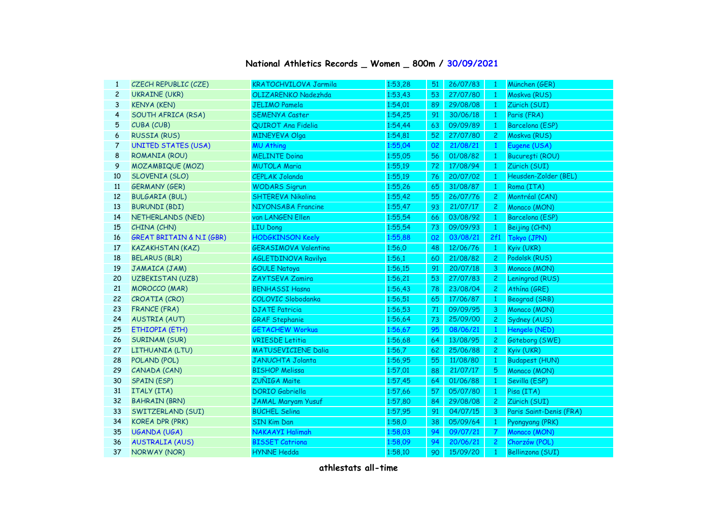| National Athletics Records _ Women _ 800m / 30/09/2021 |  |  |  |
|--------------------------------------------------------|--|--|--|
|--------------------------------------------------------|--|--|--|

| $\mathbf{1}$   | CZECH REPUBLIC (CZE)                 | <b>KRATOCHVILOVA Jarmila</b> | 1:53,28 | 51 | 26/07/83 | - 1            | München (GER)           |
|----------------|--------------------------------------|------------------------------|---------|----|----------|----------------|-------------------------|
| $\overline{c}$ | <b>UKRAINE (UKR)</b>                 | OLIZARENKO Nadezhda          | 1:53,43 | 53 | 27/07/80 | $\mathbf{1}$   | Moskva (RUS)            |
| 3              | <b>KENYA (KEN)</b>                   | <b>JELIMO Pamela</b>         | 1:54,01 | 89 | 29/08/08 | $\mathbf{1}$   | Zürich (SUI)            |
| 4              | SOUTH AFRICA (RSA)                   | <b>SEMENYA Caster</b>        | 1:54,25 | 91 | 30/06/18 | $\mathbf{1}$   | Paris (FRA)             |
| 5              | CUBA (CUB)                           | QUIROT Ana Fidelia           | 1:54,44 | 63 | 09/09/89 | $\mathbf{1}$   | Barcelona (ESP)         |
| 6              | <b>RUSSIA (RUS)</b>                  | <b>MINEYEVA Olga</b>         | 1:54,81 | 52 | 27/07/80 | $\overline{c}$ | Moskva (RUS)            |
| 7              | <b>UNITED STATES (USA)</b>           | <b>MU Athing</b>             | 1:55,04 | 02 | 21/08/21 | $\mathbf{1}$   | Eugene (USA)            |
| 8              | ROMANIA (ROU)                        | <b>MELINTE Doina</b>         | 1:55,05 | 56 | 01/08/82 | $\mathbf{1}$   | București (ROU)         |
| 9              | MOZAMBIQUE (MOZ)                     | <b>MUTOLA Maria</b>          | 1:55,19 | 72 | 17/08/94 | $\mathbf{1}$   | Zürich (SUI)            |
| 10             | <b>SLOVENIA (SLO)</b>                | <b>CEPLAK Jolanda</b>        | 1:55.19 | 76 | 20/07/02 | $\mathbf{1}$   | Heusden-Zolder (BEL)    |
| 11             | <b>GERMANY (GER)</b>                 | <b>WODARS Sigrun</b>         | 1:55,26 | 65 | 31/08/87 | $\mathbf{1}$   | Roma (ITA)              |
| 12             | <b>BULGARIA (BUL)</b>                | <b>SHTEREVA Nikolina</b>     | 1:55,42 | 55 | 26/07/76 | $\overline{c}$ | Montréal (CAN)          |
| 13             | <b>BURUNDI (BDI)</b>                 | NIYONSABA Francine           | 1:55,47 | 93 | 21/07/17 | $\overline{c}$ | Monaco (MON)            |
| 14             | NETHERLANDS (NED)                    | van LANGEN Ellen             | 1:55,54 | 66 | 03/08/92 | 1              | Barcelona (ESP)         |
| 15             | CHINA (CHN)                          | <b>LIU Dong</b>              | 1:55,54 | 73 | 09/09/93 | $\mathbf{1}$   | Beijing (CHN)           |
| 16             | <b>GREAT BRITAIN &amp; N.I (GBR)</b> | <b>HODGKINSON Keely</b>      | 1:55,88 | 02 | 03/08/21 | 2f1            | Tokyo (JPN)             |
| 17             | <b>KAZAKHSTAN (KAZ)</b>              | <b>GERASIMOVA Valentina</b>  | 1:56,0  | 48 | 12/06/76 | $\mathbf{1}$   | Kyiv (UKR)              |
| 18             | <b>BELARUS (BLR)</b>                 | <b>AGLETDINOVA Ravilya</b>   | 1:56,1  | 60 | 21/08/82 | $\overline{2}$ | Podolsk (RUS)           |
| 19             | JAMAICA (JAM)                        | <b>GOULE Natoya</b>          | 1:56,15 | 91 | 20/07/18 | 3              | Monaco (MON)            |
| 20             | <b>UZBEKISTAN (UZB)</b>              | ZAYTSEVA Zamira              | 1:56,21 | 53 | 27/07/83 | $\mathbf{2}$   | Leningrad (RUS)         |
| 21             | <b>MOROCCO (MAR)</b>                 | <b>BENHASSI Hasna</b>        | 1:56,43 | 78 | 23/08/04 | $2 -$          | Athína (GRE)            |
| 22             | CROATIA (CRO)                        | COLOVIC Slobodanka           | 1:56,51 | 65 | 17/06/87 | $\mathbf{1}$   | Beograd (SRB)           |
| 23             | <b>FRANCE (FRA)</b>                  | <b>DJATE Patricia</b>        | 1:56,53 | 71 | 09/09/95 | 3              | Monaco (MON)            |
| 24             | <b>AUSTRIA (AUT)</b>                 | <b>GRAF Stephanie</b>        | 1:56,64 | 73 | 25/09/00 | $\mathbf{2}$   | Sydney (AUS)            |
| 25             | ETHIOPIA (ETH)                       | <b>GETACHEW Workua</b>       | 1:56,67 | 95 | 08/06/21 | $\mathbf{1}$   | Hengelo (NED)           |
| 26             | <b>SURINAM (SUR)</b>                 | <b>VRIESDE Letitia</b>       | 1:56,68 | 64 | 13/08/95 | $\mathbf{2}$   | Göteborg (SWE)          |
| 27             | LITHUANIA (LTU)                      | <b>MATUSEVICIENE Dalia</b>   | 1:56,7  | 62 | 25/06/88 | $\mathbf{2}$   | Kyiv (UKR)              |
| 28             | POLAND (POL)                         | <b>JANUCHTA Jolanta</b>      | 1:56,95 | 55 | 11/08/80 | $\mathbf{1}$   | <b>Budapest (HUN)</b>   |
| 29             | CANADA (CAN)                         | <b>BISHOP Melissa</b>        | 1:57,01 | 88 | 21/07/17 | 5              | Monaco (MON)            |
| 30             | <b>SPAIN (ESP)</b>                   | ZUÑIGA Maite                 | 1:57,45 | 64 | 01/06/88 | $\mathbf{1}$   | Sevilla (ESP)           |
| 31             | ITALY (ITA)                          | <b>DORIO</b> Gabriella       | 1:57,66 | 57 | 05/07/80 | $\mathbf{1}$   | Pisa (ITA)              |
| 32             | <b>BAHRAIN (BRN)</b>                 | <b>JAMAL Maryam Yusuf</b>    | 1:57,80 | 84 | 29/08/08 | $\overline{c}$ | Zürich (SUI)            |
| 33             | SWITZERLAND (SUI)                    | <b>BÜCHEL Selina</b>         | 1:57,95 | 91 | 04/07/15 | 3              | Paris Saint-Denis (FRA) |
| 34             | <b>KOREA DPR (PRK)</b>               | <b>SIN Kim Dan</b>           | 1:58,0  | 38 | 05/09/64 | $\mathbf{1}$   | Pyongyang (PRK)         |
| 35             | <b>UGANDA (UGA)</b>                  | NAKAAYI Halimah              | 1:58,03 | 94 | 09/07/21 | $\overline{7}$ | Monaco (MON)            |
| 36             | <b>AUSTRALIA (AUS)</b>               | <b>BISSET Catriona</b>       | 1:58,09 | 94 | 20/06/21 | $\overline{2}$ | Chorzów (POL)           |
| 37             | NORWAY (NOR)                         | <b>HYNNE Hedda</b>           | 1:58,10 | 90 | 15/09/20 | $\mathbf{1}$   | <b>Bellinzona (SUI)</b> |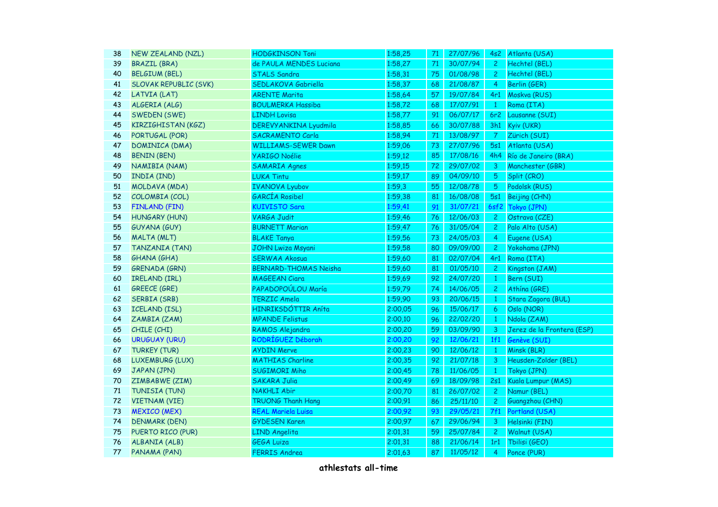| 38 | <b>NEW ZEALAND (NZL)</b>     | <b>HODGKINSON Toni</b>       | 1:58,25 | 71 | 27/07/96 |                | 4s2 Atlanta (USA)          |
|----|------------------------------|------------------------------|---------|----|----------|----------------|----------------------------|
| 39 | <b>BRAZIL (BRA)</b>          | de PAULA MENDES Luciana      | 1:58,27 | 71 | 30/07/94 | $\mathbf{2}$   | Hechtel (BEL)              |
| 40 | <b>BELGIUM (BEL)</b>         | <b>STALS Sandra</b>          | 1:58,31 | 75 | 01/08/98 | $\mathbf{2}$   | Hechtel (BEL)              |
| 41 | <b>SLOVAK REPUBLIC (SVK)</b> | SEDLAKOVA Gabriella          | 1:58,37 | 68 | 21/08/87 | $\overline{4}$ | Berlin (GER)               |
| 42 | LATVIA (LAT)                 | <b>ARENTE Marita</b>         | 1:58,64 | 57 | 19/07/84 | 4r1            | Moskva (RUS)               |
| 43 | ALGERIA (ALG)                | <b>BOULMERKA Hassiba</b>     | 1:58,72 | 68 | 17/07/91 | $\mathbf{1}$   | Roma (ITA)                 |
| 44 | SWEDEN (SWE)                 | <b>LINDH Lovisa</b>          | 1:58,77 | 91 | 06/07/17 | 6r2            | Lausanne (SUI)             |
| 45 | KIRZIGHISTAN (KGZ)           | DEREVY ANKINA Lyudmila       | 1:58,85 | 66 | 30/07/88 |                | 3h1 Kyiv (UKR)             |
| 46 | PORTUGAL (POR)               | <b>SACRAMENTO Carla</b>      | 1:58,94 | 71 | 13/08/97 | $\overline{7}$ | Zürich (SUI)               |
| 47 | DOMINICA (DMA)               | <b>WILLIAMS-SEWER Dawn</b>   | 1:59,06 | 73 | 27/07/96 | 5s1            | Atlanta (USA)              |
| 48 | <b>BENIN (BEN)</b>           | <b>YARIGO Noélie</b>         | 1:59,12 | 85 | 17/08/16 |                | 4h4 Río de Janeiro (BRA)   |
| 49 | NAMIBIA (NAM)                | <b>SAMARIA Agnes</b>         | 1:59,15 | 72 | 29/07/02 | 3              | Manchester (GBR)           |
| 50 | INDIA (IND)                  | <b>LUKA Tintu</b>            | 1:59,17 | 89 | 04/09/10 | 5              | Split (CRO)                |
| 51 | MOLDAVA (MDA)                | <b>IVANOVA Lyubov</b>        | 1:59,3  | 55 | 12/08/78 | 5              | Podolsk (RUS)              |
| 52 | COLOMBIA (COL)               | <b>GARCÍA Rosibel</b>        | 1:59,38 | 81 | 16/08/08 | 5s1            | Beijing (CHN)              |
| 53 | <b>FINLAND (FIN)</b>         | <b>KUIVISTO Sara</b>         | 1:59,41 | 91 | 31/07/21 |                | 6sf2 Tokyo (JPN)           |
| 54 | HUNGARY (HUN)                | <b>VARGA Judit</b>           | 1:59,46 | 76 | 12/06/03 | $\mathbf{2}$   | Ostrava (CZE)              |
| 55 | <b>GUYANA (GUY)</b>          | <b>BURNETT Marian</b>        | 1:59,47 | 76 | 31/05/04 | $\mathbf{2}$   | Palo Alto (USA)            |
| 56 | <b>MALTA (MLT)</b>           | <b>BLAKE Tanya</b>           | 1:59,56 | 73 | 24/05/03 | $\overline{4}$ | Eugene (USA)               |
| 57 | <b>TANZANIA (TAN)</b>        | <b>JOHN Lwiza Msyani</b>     | 1:59,58 | 80 | 09/09/00 | $\mathbf{2}$   | Yokohama (JPN)             |
| 58 | <b>GHANA (GHA)</b>           | <b>SERWAA Akosua</b>         | 1:59,60 | 81 | 02/07/04 | 4r1            | Roma (ITA)                 |
| 59 | <b>GRENADA (GRN)</b>         | <b>BERNARD-THOMAS Neisha</b> | 1:59,60 | 81 | 01/05/10 | $\overline{c}$ | Kingston (JAM)             |
| 60 | IRELAND (IRL)                | <b>MAGEEAN Ciara</b>         | 1:59,69 | 92 | 24/07/20 | $\mathbf{1}$   | Bern (SUI)                 |
| 61 | <b>GREECE (GRE)</b>          | PAPADOPOÚLOU María           | 1:59,79 | 74 | 14/06/05 | $\overline{c}$ | Athína (GRE)               |
| 62 | <b>SERBIA (SRB)</b>          | <b>TERZIC Amela</b>          | 1:59,90 | 93 | 20/06/15 | $\mathbf{1}$   | Stara Zagora (BUL)         |
| 63 | <b>ICELAND (ISL)</b>         | HINRIKSDÓTTIR Aníta          | 2:00,05 | 96 | 15/06/17 | 6              | Oslo (NOR)                 |
| 64 | ZAMBIA (ZAM)                 | <b>MPANDE Felistus</b>       | 2:00,10 | 96 | 22/02/20 | $\mathbf{1}$   | Ndola (ZAM)                |
| 65 | CHILE (CHI)                  | RAMOS Alejandra              | 2:00,20 | 59 | 03/09/90 | 3              | Jerez de la Frontera (ESP) |
| 66 | <b>URUGUAY (URU)</b>         | RODRÍGUEZ Déborah            | 2:00,20 | 92 | 12/06/21 | 1f1            | Genève (SUI)               |
| 67 | <b>TURKEY (TUR)</b>          | <b>AYDIN Merve</b>           | 2:00,23 | 90 | 12/06/12 | $\mathbf{1}$   | Minsk (BLR)                |
| 68 | LUXEMBURG (LUX)              | <b>MATHIAS Charline</b>      | 2:00,35 | 92 | 21/07/18 | 3              | Heusden-Zolder (BEL)       |
| 69 | JAPAN (JPN)                  | <b>SUGIMORI Miho</b>         | 2:00,45 | 78 | 11/06/05 | $\mathbf{1}$   | Tokyo (JPN)                |
| 70 | ZIMBABWE (ZIM)               | <b>SAKARA Julia</b>          | 2:00,49 | 69 | 18/09/98 | 2s1            | Kuala Lumpur (MAS)         |
| 71 | TUNISIA (TUN)                | <b>NAKHLI Abir</b>           | 2:00,70 | 81 | 26/07/02 | $\mathbf{2}$   | Namur (BEL)                |
| 72 | <b>VIETNAM (VIE)</b>         | <b>TRUONG Thanh Hang</b>     | 2:00,91 | 86 | 25/11/10 | $\mathbf{2}$   | Guangzhou (CHN)            |
| 73 | <b>MEXICO (MEX)</b>          | <b>REAL Mariela Luisa</b>    | 2:00,92 | 93 | 29/05/21 | 7f1            | Portland (USA)             |
| 74 | <b>DENMARK (DEN)</b>         | <b>GYDESEN Karen</b>         | 2:00,97 | 67 | 29/06/94 | 3              | Helsinki (FIN)             |
| 75 | PUERTO RICO (PUR)            | <b>LIND Angelita</b>         | 2:01,31 | 59 | 25/07/84 | $\mathbf{2}$   | Walnut (USA)               |
| 76 | ALBANIA (ALB)                | <b>GEGA Luiza</b>            | 2:01,31 | 88 | 21/06/14 | 1r1            | Tbilisi (GEO)              |
| 77 | PANAMA (PAN)                 | <b>FERRIS Andrea</b>         | 2:01,63 | 87 | 11/05/12 | $\overline{4}$ | Ponce (PUR)                |